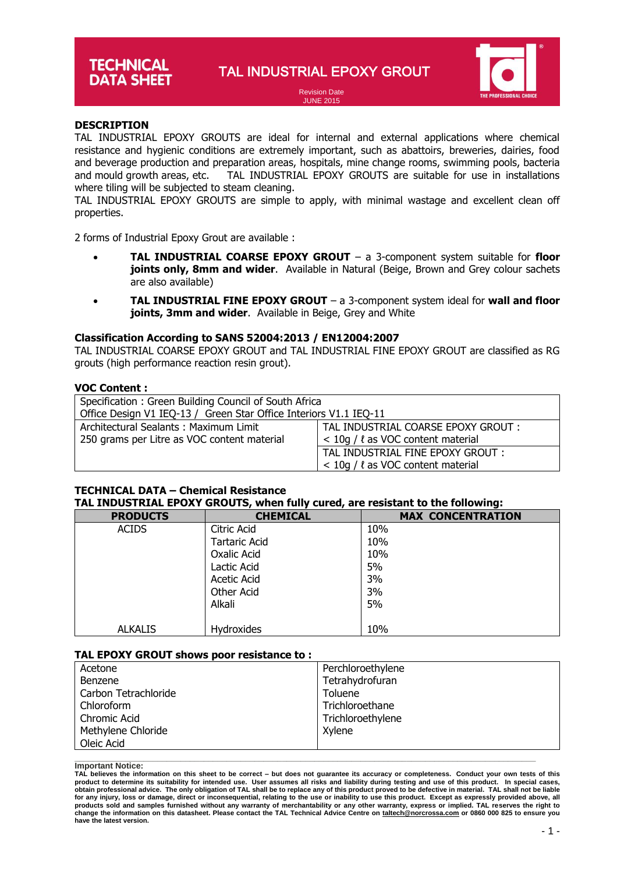# **TECHNICAL DATA SHEET**

TAL INDUSTRIAL EPOXY GROUT

Revision Date JUNE 2015



# **DESCRIPTION**

**DESCRIPTION**<br>TAL INDUSTRIAL EPOXY GROUTS are ideal for internal and external applications where chemical resistance and hygienic conditions are extremely important, such as abattoirs, breweries, dairies, food and beverage production and preparation areas, hospitals, mine change rooms, swimming pools, bacteria and mould growth areas, etc. TAL INDUSTRIAL EPOXY GROUTS are suitable for use in installations where tiling will be subjected to steam cleaning.

TAL INDUSTRIAL EPOXY GROUTS are simple to apply, with minimal wastage and excellent clean off properties.

2 forms of Industrial Epoxy Grout are available :

- **TAL INDUSTRIAL COARSE EPOXY GROUT** a 3-component system suitable for **floor joints only, 8mm and wider**. Available in Natural (Beige, Brown and Grey colour sachets are also available)
- **TAL INDUSTRIAL FINE EPOXY GROUT** a 3-component system ideal for **wall and floor joints, 3mm and wider**. Available in Beige, Grey and White

# **Classification According to SANS 52004:2013 / EN12004:2007**

TAL INDUSTRIAL COARSE EPOXY GROUT and TAL INDUSTRIAL FINE EPOXY GROUT are classified as RG grouts (high performance reaction resin grout).

# **VOC Content :**

| Specification: Green Building Council of South Africa<br>Office Design V1 IEQ-13 / Green Star Office Interiors V1.1 IEQ-11 |                                                                                 |  |
|----------------------------------------------------------------------------------------------------------------------------|---------------------------------------------------------------------------------|--|
| Architectural Sealants: Maximum Limit<br>250 grams per Litre as VOC content material                                       | TAL INDUSTRIAL COARSE EPOXY GROUT :<br>$<$ 10g / $\ell$ as VOC content material |  |
|                                                                                                                            | TAL INDUSTRIAL FINE EPOXY GROUT :<br>$<$ 10g / $\ell$ as VOC content material   |  |

# **TECHNICAL DATA – Chemical Resistance**

# **TAL INDUSTRIAL EPOXY GROUTS, when fully cured, are resistant to the following:**

| - - -           |                      |                          |
|-----------------|----------------------|--------------------------|
| <b>PRODUCTS</b> | <b>CHEMICAL</b>      | <b>MAX CONCENTRATION</b> |
| <b>ACIDS</b>    | Citric Acid          | 10%                      |
|                 | <b>Tartaric Acid</b> | 10%                      |
|                 | Oxalic Acid          | 10%                      |
|                 | Lactic Acid          | 5%                       |
|                 | <b>Acetic Acid</b>   | 3%                       |
|                 | Other Acid           | 3%                       |
|                 | Alkali               | 5%                       |
|                 |                      |                          |
| <b>ALKALIS</b>  | Hydroxides           | 10%                      |

### **TAL EPOXY GROUT shows poor resistance to :**

| Acetone              | Perchloroethylene |
|----------------------|-------------------|
| Benzene              | Tetrahydrofuran   |
| Carbon Tetrachloride | Toluene           |
| Chloroform           | Trichloroethane   |
| Chromic Acid         | Trichloroethylene |
| Methylene Chloride   | Xylene            |
| Oleic Acid           |                   |

**\_\_\_\_\_\_\_\_\_\_\_\_\_\_\_\_\_\_\_\_\_\_\_\_\_\_\_\_\_\_\_\_\_\_\_\_\_\_\_\_\_\_\_\_\_\_\_\_\_\_\_\_\_\_\_\_\_\_\_\_\_\_\_\_\_\_\_\_\_\_\_\_\_\_\_\_\_\_\_\_\_\_\_\_\_\_\_\_\_\_\_\_\_\_\_\_\_\_\_\_ Important Notice:**

**TAL believes the information on this sheet to be correct – but does not guarantee its accuracy or completeness. Conduct your own tests of this**  product to determine its suitability for intended use. User assumes all risks and liability during testing and use of this product. In special cases,<br>obtain professional advice. The only obligation of TAL shall be to rep **for any injury, loss or damage, direct or inconsequential, relating to the use or inability to use this product. Except as expressly provided above, all**  products sold and samples furnished without any warranty of merchantability or any other warranty, express or implied. TAL reserves the right to<br>change the information on this datasheet. Please contact the TAL Technical Ad **have the latest version.**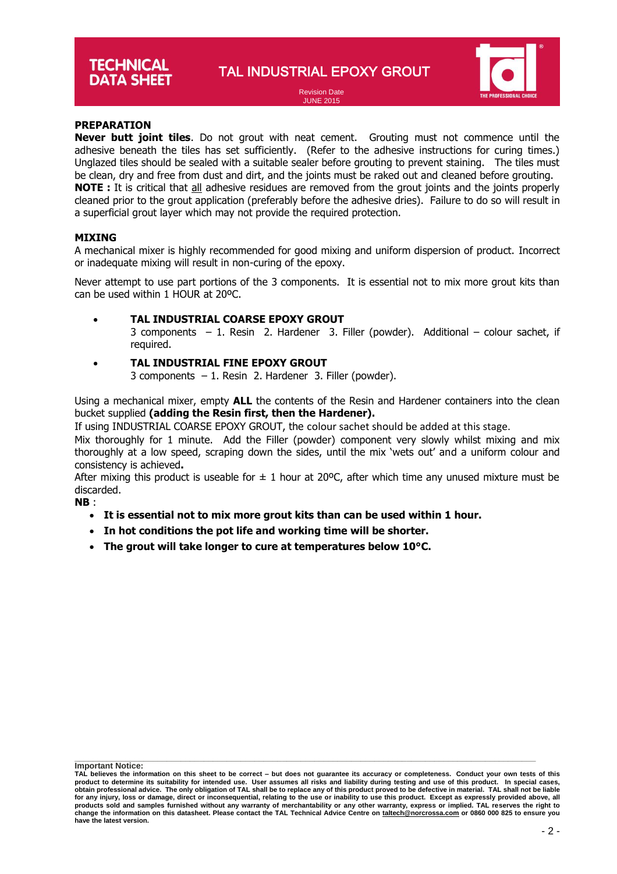TAL INDUSTRIAL EPOXY GROUT



Revision Date JUNE 2015

# **PREPARATION**

**PREPARATION**<br>**Never butt joint tiles**. Do not grout with neat cement. Grouting must not commence until the adhesive beneath the tiles has set sufficiently. (Refer to the adhesive instructions for curing times.) Unglazed tiles should be sealed with a suitable sealer before grouting to prevent staining. The tiles must be clean, dry and free from dust and dirt, and the joints must be raked out and cleaned before grouting. **NOTE :** It is critical that all adhesive residues are removed from the grout joints and the joints properly cleaned prior to the grout application (preferably before the adhesive dries). Failure to do so will result in a superficial grout layer which may not provide the required protection.

# **MIXING**

A mechanical mixer is highly recommended for good mixing and uniform dispersion of product. Incorrect or inadequate mixing will result in non-curing of the epoxy.

Never attempt to use part portions of the 3 components. It is essential not to mix more grout kits than can be used within 1 HOUR at 20ºC.

# **TAL INDUSTRIAL COARSE EPOXY GROUT**

3 components – 1. Resin 2. Hardener 3. Filler (powder). Additional – colour sachet, if required.

- **TAL INDUSTRIAL FINE EPOXY GROUT**
	- 3 components 1. Resin 2. Hardener 3. Filler (powder).

Using a mechanical mixer, empty **ALL** the contents of the Resin and Hardener containers into the clean bucket supplied **(adding the Resin first, then the Hardener).** 

If using INDUSTRIAL COARSE EPOXY GROUT, the colour sachet should be added at this stage.

Mix thoroughly for 1 minute. Add the Filler (powder) component very slowly whilst mixing and mix thoroughly at a low speed, scraping down the sides, until the mix 'wets out' and a uniform colour and consistency is achieved**.** 

After mixing this product is useable for  $\pm$  1 hour at 20°C, after which time any unused mixture must be discarded.

**NB** :

- **It is essential not to mix more grout kits than can be used within 1 hour.**
- **In hot conditions the pot life and working time will be shorter.**
- **The grout will take longer to cure at temperatures below 10°C.**

**TAL believes the information on this sheet to be correct – but does not guarantee its accuracy or completeness. Conduct your own tests of this**  product to determine its suitability for intended use. User assumes all risks and liability during testing and use of this product. In special cases,<br>obtain professional advice. The only obligation of TAL shall be to rep **for any injury, loss or damage, direct or inconsequential, relating to the use or inability to use this product. Except as expressly provided above, all**  products sold and samples furnished without any warranty of merchantability or any other warranty, express or implied. TAL reserves the right to<br>change the information on this datasheet. Please contact the TAL Technical Ad **have the latest version.**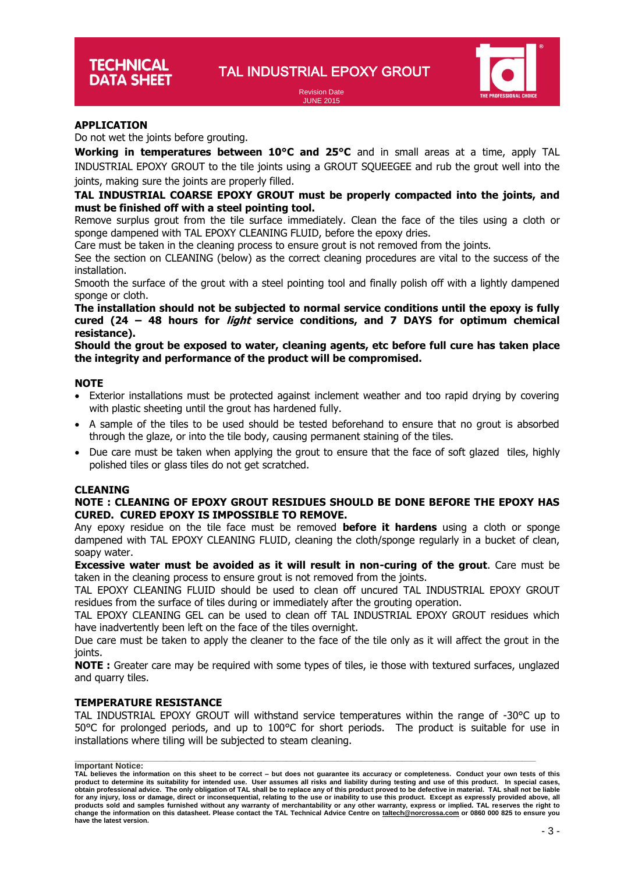Revision Date JUNE 2015



# **APPLICATION**

Do not wet the joints before grouting.

**Working in temperatures between 10°C and 25°C** and in small areas at a time, apply TAL INDUSTRIAL EPOXY GROUT to the tile joints using a GROUT SQUEEGEE and rub the grout well into the joints, making sure the joints are properly filled.

# **TAL INDUSTRIAL COARSE EPOXY GROUT must be properly compacted into the joints, and must be finished off with a steel pointing tool.**

Remove surplus grout from the tile surface immediately. Clean the face of the tiles using a cloth or sponge dampened with TAL EPOXY CLEANING FLUID, before the epoxy dries.

Care must be taken in the cleaning process to ensure grout is not removed from the joints.

See the section on CLEANING (below) as the correct cleaning procedures are vital to the success of the installation.

Smooth the surface of the grout with a steel pointing tool and finally polish off with a lightly dampened sponge or cloth.

**The installation should not be subjected to normal service conditions until the epoxy is fully cured (24 – 48 hours for light service conditions, and 7 DAYS for optimum chemical resistance).**

# **Should the grout be exposed to water, cleaning agents, etc before full cure has taken place the integrity and performance of the product will be compromised.**

# **NOTE**

- Exterior installations must be protected against inclement weather and too rapid drying by covering with plastic sheeting until the grout has hardened fully.
- A sample of the tiles to be used should be tested beforehand to ensure that no grout is absorbed through the glaze, or into the tile body, causing permanent staining of the tiles.
- Due care must be taken when applying the grout to ensure that the face of soft glazed tiles, highly polished tiles or glass tiles do not get scratched.

### **CLEANING**

# **NOTE : CLEANING OF EPOXY GROUT RESIDUES SHOULD BE DONE BEFORE THE EPOXY HAS CURED. CURED EPOXY IS IMPOSSIBLE TO REMOVE.**

Any epoxy residue on the tile face must be removed **before it hardens** using a cloth or sponge dampened with TAL EPOXY CLEANING FLUID, cleaning the cloth/sponge regularly in a bucket of clean, soapy water.

**Excessive water must be avoided as it will result in non-curing of the grout**. Care must be taken in the cleaning process to ensure grout is not removed from the joints.

TAL EPOXY CLEANING FLUID should be used to clean off uncured TAL INDUSTRIAL EPOXY GROUT residues from the surface of tiles during or immediately after the grouting operation.

TAL EPOXY CLEANING GEL can be used to clean off TAL INDUSTRIAL EPOXY GROUT residues which have inadvertently been left on the face of the tiles overnight.

Due care must be taken to apply the cleaner to the face of the tile only as it will affect the grout in the joints.

**NOTE :** Greater care may be required with some types of tiles, ie those with textured surfaces, unglazed and quarry tiles.

# **TEMPERATURE RESISTANCE**

TAL INDUSTRIAL EPOXY GROUT will withstand service temperatures within the range of -30°C up to 50°C for prolonged periods, and up to 100°C for short periods. The product is suitable for use in installations where tiling will be subjected to steam cleaning.

**TAL believes the information on this sheet to be correct – but does not guarantee its accuracy or completeness. Conduct your own tests of this**  product to determine its suitability for intended use. User assumes all risks and liability during testing and use of this product. In special cases,<br>obtain professional advice. The only obligation of TAL shall be to rep **for any injury, loss or damage, direct or inconsequential, relating to the use or inability to use this product. Except as expressly provided above, all**  products sold and samples furnished without any warranty of merchantability or any other warranty, express or implied. TAL reserves the right to<br>change the information on this datasheet. Please contact the TAL Technical Ad **have the latest version.**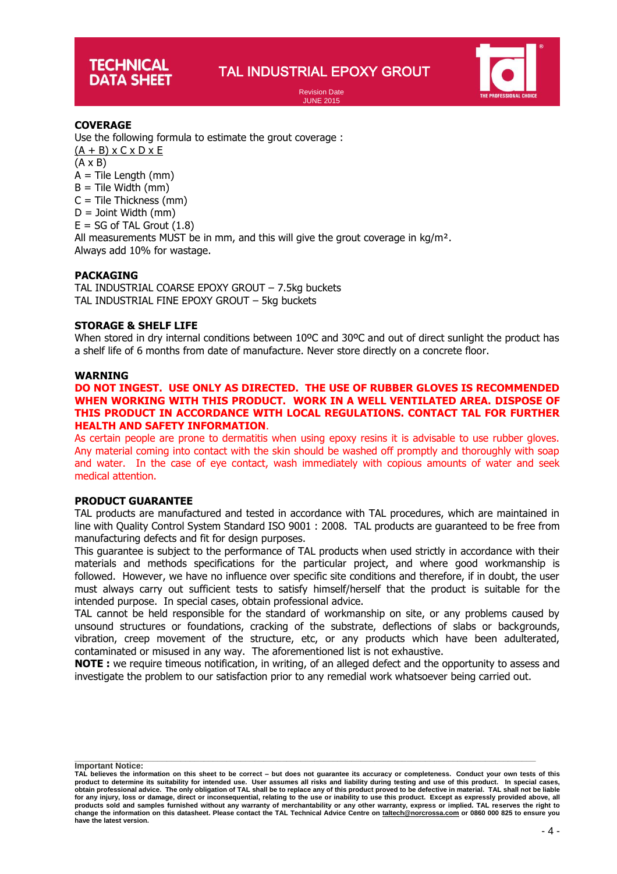# **TECHNICAL DATA SHEET**

# TAL INDUSTRIAL EPOXY GROUT

Revision Date JUNE 2015



# **COVERAGE**

**based** Use the following formula to estimate the grout coverage :

 $(A + B)$  x  $C$  x  $D$  x E

(A x B)

 $A =$  Tile Length (mm)

 $B =$  Tile Width (mm)

 $C =$  Tile Thickness (mm)

 $D =$  Joint Width (mm)

 $E = SG$  of TAL Grout  $(1.8)$ 

All measurements MUST be in mm, and this will give the grout coverage in  $kg/m<sup>2</sup>$ .

Always add 10% for wastage.

# **PACKAGING**

TAL INDUSTRIAL COARSE EPOXY GROUT – 7.5kg buckets TAL INDUSTRIAL FINE EPOXY GROUT – 5kg buckets

# **STORAGE & SHELF LIFE**

When stored in dry internal conditions between 10°C and 30°C and out of direct sunlight the product has a shelf life of 6 months from date of manufacture. Never store directly on a concrete floor.

# **WARNING**

**DO NOT INGEST. USE ONLY AS DIRECTED. THE USE OF RUBBER GLOVES IS RECOMMENDED WHEN WORKING WITH THIS PRODUCT. WORK IN A WELL VENTILATED AREA. DISPOSE OF THIS PRODUCT IN ACCORDANCE WITH LOCAL REGULATIONS. CONTACT TAL FOR FURTHER HEALTH AND SAFETY INFORMATION**.

As certain people are prone to dermatitis when using epoxy resins it is advisable to use rubber gloves. Any material coming into contact with the skin should be washed off promptly and thoroughly with soap and water. In the case of eye contact, wash immediately with copious amounts of water and seek medical attention.

# **PRODUCT GUARANTEE**

TAL products are manufactured and tested in accordance with TAL procedures, which are maintained in line with Quality Control System Standard ISO 9001 : 2008. TAL products are guaranteed to be free from manufacturing defects and fit for design purposes.

This guarantee is subject to the performance of TAL products when used strictly in accordance with their materials and methods specifications for the particular project, and where good workmanship is followed. However, we have no influence over specific site conditions and therefore, if in doubt, the user must always carry out sufficient tests to satisfy himself/herself that the product is suitable for the intended purpose. In special cases, obtain professional advice.

TAL cannot be held responsible for the standard of workmanship on site, or any problems caused by unsound structures or foundations, cracking of the substrate, deflections of slabs or backgrounds, vibration, creep movement of the structure, etc, or any products which have been adulterated, contaminated or misused in any way. The aforementioned list is not exhaustive.

**NOTE :** we require timeous notification, in writing, of an alleged defect and the opportunity to assess and investigate the problem to our satisfaction prior to any remedial work whatsoever being carried out.

**TAL believes the information on this sheet to be correct – but does not guarantee its accuracy or completeness. Conduct your own tests of this**  product to determine its suitability for intended use. User assumes all risks and liability during testing and use of this product. In special cases,<br>obtain professional advice. The only obligation of TAL shall be to rep **for any injury, loss or damage, direct or inconsequential, relating to the use or inability to use this product. Except as expressly provided above, all**  products sold and samples furnished without any warranty of merchantability or any other warranty, express or implied. TAL reserves the right to<br>change the information on this datasheet. Please contact the TAL Technical Ad **have the latest version.**